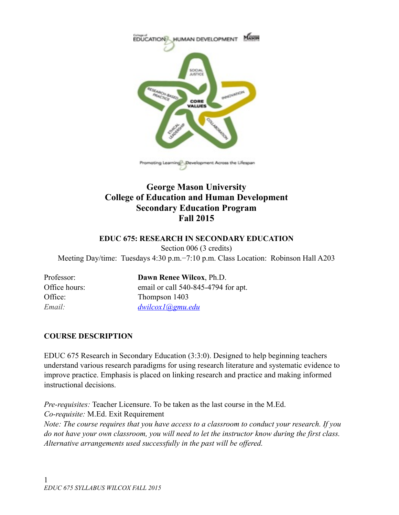

# **George Mason University College of Education and Human Development Secondary Education Program Fall 2015**

### **EDUC 675: RESEARCH IN SECONDARY EDUCATION**

Section 006 (3 credits)

Meeting Day/time: Tuesdays 4:30 p.m.−7:10 p.m. Class Location: Robinson Hall A203

Professor: **Dawn Renee Wilcox**, Ph.D. Office hours: email or call 540-845-4794 for apt. Office: Thompson 1403 *Email: [dwilcox1@gmu.edu](mailto:dwilcox1@gmu.edu)* 

# **COURSE DESCRIPTION**

EDUC 675 Research in Secondary Education (3:3:0). Designed to help beginning teachers understand various research paradigms for using research literature and systematic evidence to improve practice. Emphasis is placed on linking research and practice and making informed instructional decisions.

*Pre-requisites:* Teacher Licensure. To be taken as the last course in the M.Ed. *Co-requisite:* M.Ed. Exit Requirement

*Note: The course requires that you have access to a classroom to conduct your research. If you do not have your own classroom, you will need to let the instructor know during the first class. Alternative arrangements used successfully in the past will be offered.*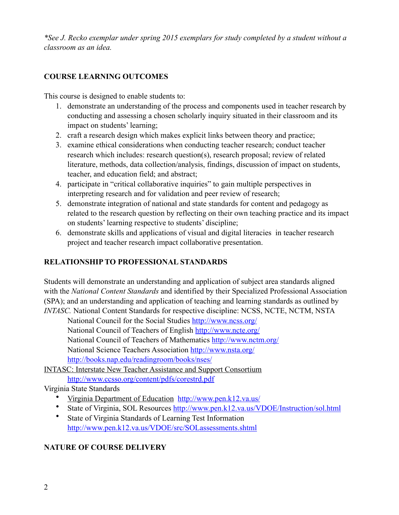*\*See J. Recko exemplar under spring 2015 exemplars for study completed by a student without a classroom as an idea.* 

# **COURSE LEARNING OUTCOMES**

This course is designed to enable students to:

- 1. demonstrate an understanding of the process and components used in teacher research by conducting and assessing a chosen scholarly inquiry situated in their classroom and its impact on students' learning;
- 2. craft a research design which makes explicit links between theory and practice;
- 3. examine ethical considerations when conducting teacher research; conduct teacher research which includes: research question(s), research proposal; review of related literature, methods, data collection/analysis, findings, discussion of impact on students, teacher, and education field; and abstract;
- 4. participate in "critical collaborative inquiries" to gain multiple perspectives in interpreting research and for validation and peer review of research;
- 5. demonstrate integration of national and state standards for content and pedagogy as related to the research question by reflecting on their own teaching practice and its impact on students' learning respective to students' discipline;
- 6. demonstrate skills and applications of visual and digital literacies in teacher research project and teacher research impact collaborative presentation.

# **RELATIONSHIP TO PROFESSIONAL STANDARDS**

Students will demonstrate an understanding and application of subject area standards aligned with the *National Content Standards* and identified by their Specialized Professional Association (SPA); and an understanding and application of teaching and learning standards as outlined by *INTASC.* National Content Standards for respective discipline: NCSS, NCTE, NCTM, NSTA

 National Council for the Social Studies <http://www.ncss.org/> National Council of Teachers of English <http://www.ncte.org/> National Council of Teachers of Mathematics<http://www.nctm.org/> National Science Teachers Association<http://www.nsta.org/>

<http://books.nap.edu/readingroom/books/nses/>

[INTASC: Interstate New Teacher Assistance and Support Consortium](http://www.ccsso.org/content/pdfs/corestrd.pdf) <http://www.ccsso.org/content/pdfs/corestrd.pdf>

Virginia State Standards

- [Virginia Department of Education http://www.pen.k12.va.us/](http://www.pen.k12.va.us/)
- State of Virginia, SOL Resources [http://www.pen.k12.va.us/VDOE/Instruction/sol.html](http://www.pen.k12.va.us/vdoe/instruction/sol.html)
- State of Virginia Standards of Learning Test Information [http://www.pen.k12.va.us/VDOE/src/SOLassessments.shtml](http://www.pen.k12.va.us/vdoe/src/solassessments.shtml)

# **NATURE OF COURSE DELIVERY**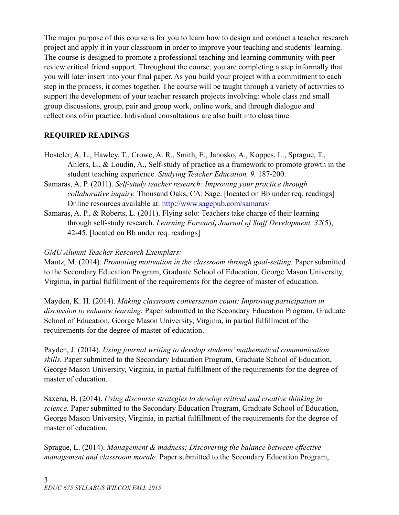The major purpose of this course is for you to learn how to design and conduct a teacher research project and apply it in your classroom in order to improve your teaching and students' learning. The course is designed to promote a professional teaching and learning community with peer review critical friend support. Throughout the course, you are completing a step informally that you will later insert into your final paper. As you build your project with a commitment to each step in the process, it comes together. The course will be taught through a variety of activities to support the development of your teacher research projects involving: whole class and small group discussions, group, pair and group work, online work, and through dialogue and reflections of/in practice. Individual consultations are also built into class time.

## **REQUIRED READINGS**

- Hosteler, A. L., Hawley, T., Crowe, A. R., Smith, E., Janosko, A., Koppes, L., Sprague, T., Ahlers, L., & Loudin, A., Self-study of practice as a framework to promote growth in the student teaching experience. *Studying Teacher Education, 9,* 187-200.
- Samaras, A. P. (2011). *Self-study teacher research: Improving your practice through collaborative inquiry.* Thousand Oaks, CA: Sage. [located on Bb under req. readings] Online resources available at: <http://www.sagepub.com/samaras/>
- Samaras, A. P., & Roberts, L. (2011). Flying solo: Teachers take charge of their learning through self-study research. *Learning Forward, Journal of Staff Development, 32*(5), 42-45. [located on Bb under req. readings]

## *GMU Alumni Teacher Research Exemplars:*

Mautz, M. (2014). *Promoting motivation in the classroom through goal-setting.* Paper submitted to the Secondary Education Program, Graduate School of Education, George Mason University, Virginia, in partial fulfillment of the requirements for the degree of master of education.

Mayden, K. H. (2014). *Making classroom conversation count: Improving participation in discussion to enhance learning.* Paper submitted to the Secondary Education Program, Graduate School of Education, George Mason University, Virginia, in partial fulfillment of the requirements for the degree of master of education.

Payden, J. (2014). *Using journal writing to develop students' mathematical communication skills.* Paper submitted to the Secondary Education Program, Graduate School of Education, George Mason University, Virginia, in partial fulfillment of the requirements for the degree of master of education.

Saxena, B. (2014). *Using discourse strategies to develop critical and creative thinking in science.* Paper submitted to the Secondary Education Program, Graduate School of Education, George Mason University, Virginia, in partial fulfillment of the requirements for the degree of master of education.

Sprague, L. (2014). *Management & madness: Discovering the balance between effective management and classroom morale.* Paper submitted to the Secondary Education Program,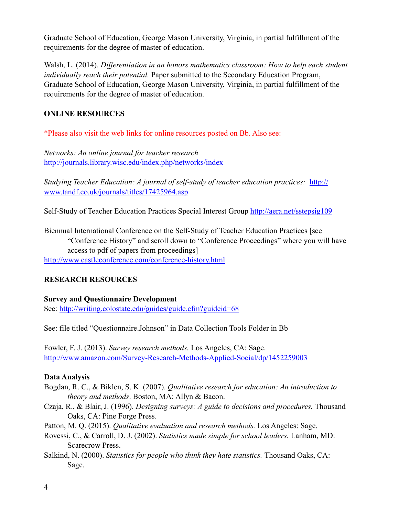Graduate School of Education, George Mason University, Virginia, in partial fulfillment of the requirements for the degree of master of education.

Walsh, L. (2014). *Differentiation in an honors mathematics classroom: How to help each student individually reach their potential.* Paper submitted to the Secondary Education Program, Graduate School of Education, George Mason University, Virginia, in partial fulfillment of the requirements for the degree of master of education.

## **ONLINE RESOURCES**

\*Please also visit the web links for online resources posted on Bb. Also see:

*Networks: An online journal for teacher research*  <http://journals.library.wisc.edu/index.php/networks/index>

*Studying Teacher Education: A journal of self-study of teacher education practices:* http:// www.tandf.co.uk/journals/titles/17425964.asp

Self-Study of Teacher Education Practices Special Interest Group<http://aera.net/sstepsig109>

Biennual International Conference on the Self-Study of Teacher Education Practices [see "Conference History" and scroll down to "Conference Proceedings" where you will have access to pdf of papers from proceedings]

<http://www.castleconference.com/conference-history.html>

# **RESEARCH RESOURCES**

**Survey and Questionnaire Development**  See:<http://writing.colostate.edu/guides/guide.cfm?guideid=68>

See: file titled "Questionnaire.Johnson" in Data Collection Tools Folder in Bb

Fowler, F. J. (2013). *Survey research methods.* Los Angeles, CA: Sage. [http://www.amazon.com/Survey-Research-Methods-Applied-Social/dp/1452259003](http://www.amazon.com/survey-research-methods-applied-social/dp/1452259003)

## **Data Analysis**

- Bogdan, R. C., & Biklen, S. K. (2007). *Qualitative research for education: An introduction to theory and methods*. Boston, MA: Allyn & Bacon.
- Czaja, R., & Blair, J. (1996). *Designing surveys: A guide to decisions and procedures.* Thousand Oaks, CA: Pine Forge Press.

Patton, M. Q. (2015). *Qualitative evaluation and research methods.* Los Angeles: Sage.

- Rovessi, C., & Carroll, D. J. (2002). *Statistics made simple for school leaders.* Lanham, MD: Scarecrow Press.
- Salkind, N. (2000). *Statistics for people who think they hate statistics.* Thousand Oaks, CA: Sage.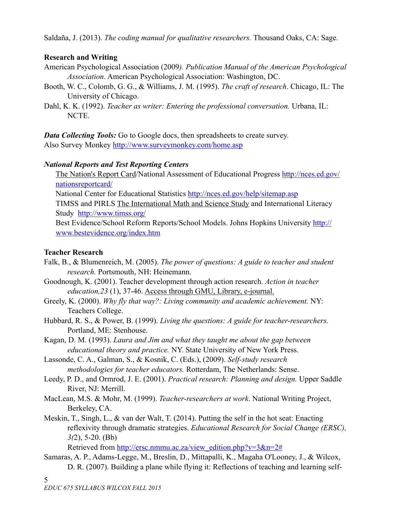Saldaña, J. (2013). *The coding manual for qualitative researchers.* Thousand Oaks, CA: Sage.

## **Research and Writing**

- American Psychological Association (2009*). Publication Manual of the American Psychological Association*. American Psychological Association: Washington, DC.
- Booth, W. C., Colomb, G. G., & Williams, J. M. (1995). *The craft of research*. Chicago, IL: The University of Chicago.
- Dahl, K. K. (1992). *Teacher as writer: Entering the professional conversation*. Urbana, IL: NCTE.

*Data Collecting Tools:* Go to Google docs, then spreadsheets to create survey. Also Survey Monkey<http://www.surveymonkey.com/home.asp>

## *National Reports and Test Reporting Centers*

[The Nation's Report Card/National Assessment of Educational Progress http://nces.ed.gov/](http://nces.ed.gov/nationsreportcard/) nationsreportcard/

National Center for Educational Statistics<http://nces.ed.gov/help/sitemap.asp>

TIMSS and PIRLS [The International Math and Science Study](http://www.timss.org/) and International Literacy Study <http://www.timss.org/>

[Best Evidence/School Reform Reports/School Models. Johns Hopkins University http://](http://www.bestevidence.org/index.htm) www.bestevidence.org/index.htm

# **Teacher Research**

Falk, B., & Blumenreich, M. (2005). *The power of questions: A guide to teacher and student research.* Portsmouth, NH: Heinemann.

- Goodnough, K. (2001). Teacher development through action research. *Action in teacher education,23* (1), 37-46. Access through GMU, Library, e-journal.
- Greely, K. (2000). *Why fly that way?: Living community and academic achievement.* NY: Teachers College.
- Hubbard, R. S., & Power, B. (1999). *Living the questions: A guide for teacher-researchers.*  Portland, ME: Stenhouse.

Kagan, D. M. (1993). *Laura and Jim and what they taught me about the gap between educational theory and practice.* NY. State University of New York Press.

Lassonde, C. A., Galman, S., & Kosnik, C. (Eds.), (2009). *Self-study research methodologies for teacher educators.* Rotterdam, The Netherlands: Sense.

- Leedy, P. D., and Ormrod, J. E. (2001). *Practical research: Planning and design.* Upper Saddle River, NJ: Merrill.
- MacLean, M.S. & Mohr, M. (1999). *Teacher-researchers at work*. National Writing Project, Berkeley, CA.
- Meskin, T., Singh, L., & van der Walt, T. (2014). Putting the self in the hot seat: Enacting reflexivity through dramatic strategies. *Educational Research for Social Change (ERSC), 3(*2), 5-20. (Bb)

Retrieved from http://ersc.nmmu.ac.za/view\_edition.php?v=3&n=2#

Samaras, A. P., Adams-Legge, M., Breslin, D., Mittapalli, K., Magaha O'Looney, J., & Wilcox, D. R. (2007). Building a plane while flying it: Reflections of teaching and learning self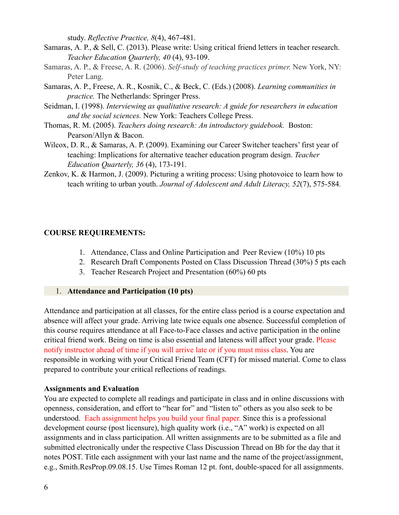study. *Reflective Practice, 8*(4), 467-481.

- Samaras, A. P., & Sell, C. (2013). Please write: Using critical friend letters in teacher research. *Teacher Education Quarterly, 40* (4), 93-109.
- Samaras, A. P., & Freese, A. R. (2006). *Self-study of teaching practices primer.* New York, NY: Peter Lang.
- Samaras, A. P., Freese, A. R., Kosnik, C., & Beck, C. (Eds.) (2008). *Learning communities in practice.* The Netherlands: Springer Press.
- Seidman, I. (1998). *Interviewing as qualitative research: A guide for researchers in education and the social sciences.* New York: Teachers College Press.
- Thomas, R. M. (2005). *Teachers doing research: An introductory guidebook.* Boston: Pearson/Allyn & Bacon.
- Wilcox, D. R., & Samaras, A. P. (2009). Examining our Career Switcher teachers' first year of teaching: Implications for alternative teacher education program design. *Teacher Education Quarterly, 36* (4), 173-191.
- Zenkov, K. & Harmon, J. (2009). Picturing a writing process: Using photovoice to learn how to teach writing to urban youth. *Journal of Adolescent and Adult Literacy, 52*(7), 575-584*.*

#### **COURSE REQUIREMENTS:**

- 1. Attendance, Class and Online Participation and Peer Review (10%) 10 pts
- 2. Research Draft Components Posted on Class Discussion Thread (30%) 5 pts each
- 3. Teacher Research Project and Presentation (60%) 60 pts

#### 1. **Attendance and Participation (10 pts)**

Attendance and participation at all classes, for the entire class period is a course expectation and absence will affect your grade. Arriving late twice equals one absence. Successful completion of this course requires attendance at all Face-to-Face classes and active participation in the online critical friend work. Being on time is also essential and lateness will affect your grade. Please notify instructor ahead of time if you will arrive late or if you must miss class. You are responsible in working with your Critical Friend Team (CFT) for missed material. Come to class prepared to contribute your critical reflections of readings.

#### **Assignments and Evaluation**

You are expected to complete all readings and participate in class and in online discussions with openness, consideration, and effort to "hear for" and "listen to" others as you also seek to be understood. Each assignment helps you build your final paper. Since this is a professional development course (post licensure), high quality work (i.e., "A" work) is expected on all assignments and in class participation. All written assignments are to be submitted as a file and submitted electronically under the respective Class Discussion Thread on Bb for the day that it notes POST. Title each assignment with your last name and the name of the project/assignment, e.g., Smith.ResProp.09.08.15. Use Times Roman 12 pt. font, double-spaced for all assignments.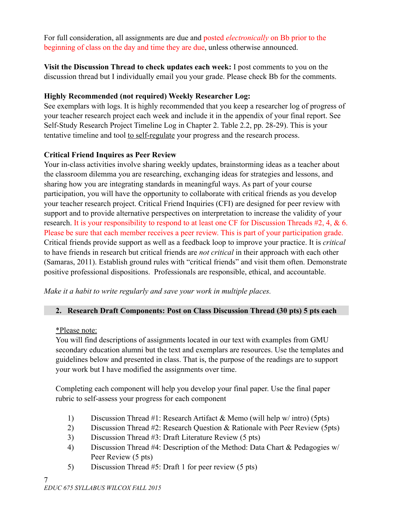For full consideration, all assignments are due and posted *electronically* on Bb prior to the beginning of class on the day and time they are due, unless otherwise announced.

**Visit the Discussion Thread to check updates each week:** I post comments to you on the discussion thread but I individually email you your grade. Please check Bb for the comments.

## **Highly Recommended (not required) Weekly Researcher Log:**

See exemplars with logs. It is highly recommended that you keep a researcher log of progress of your teacher research project each week and include it in the appendix of your final report. See Self-Study Research Project Timeline Log in Chapter 2. Table 2.2, pp. 28-29). This is your tentative timeline and tool to self-regulate your progress and the research process.

## **Critical Friend Inquires as Peer Review**

Your in-class activities involve sharing weekly updates, brainstorming ideas as a teacher about the classroom dilemma you are researching, exchanging ideas for strategies and lessons, and sharing how you are integrating standards in meaningful ways. As part of your course participation, you will have the opportunity to collaborate with critical friends as you develop your teacher research project. Critical Friend Inquiries (CFI) are designed for peer review with support and to provide alternative perspectives on interpretation to increase the validity of your research. It is your responsibility to respond to at least one CF for Discussion Threads #2, 4, & 6. Please be sure that each member receives a peer review. This is part of your participation grade. Critical friends provide support as well as a feedback loop to improve your practice. It is *critical* to have friends in research but critical friends are *not critical* in their approach with each other (Samaras, 2011). Establish ground rules with "critical friends" and visit them often. Demonstrate positive professional dispositions. Professionals are responsible, ethical, and accountable.

*Make it a habit to write regularly and save your work in multiple places.*

# **2. Research Draft Components: Post on Class Discussion Thread (30 pts) 5 pts each**

\*Please note:

You will find descriptions of assignments located in our text with examples from GMU secondary education alumni but the text and exemplars are resources. Use the templates and guidelines below and presented in class. That is, the purpose of the readings are to support your work but I have modified the assignments over time.

Completing each component will help you develop your final paper. Use the final paper rubric to self-assess your progress for each component

- 1) Discussion Thread #1: Research Artifact & Memo (will help w/ intro) (5pts)
- 2) Discussion Thread #2: Research Question & Rationale with Peer Review (5pts)
- 3) Discussion Thread #3: Draft Literature Review (5 pts)
- 4) Discussion Thread #4: Description of the Method: Data Chart & Pedagogies w/ Peer Review (5 pts)
- 5) Discussion Thread #5: Draft 1 for peer review (5 pts)

7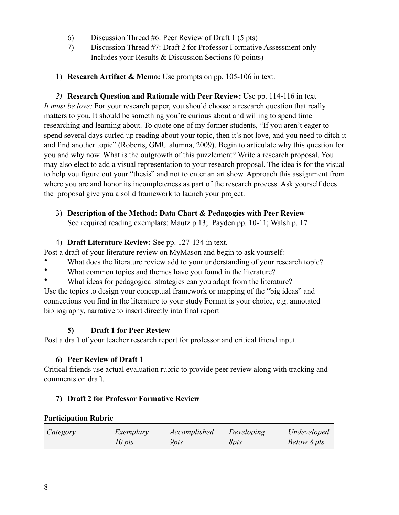- 6) Discussion Thread #6: Peer Review of Draft 1 (5 pts)
- 7) Discussion Thread #7: Draft 2 for Professor Formative Assessment only Includes your Results & Discussion Sections (0 points)
- 1) **Research Artifact & Memo:** Use prompts on pp. 105-106 in text.

*2)* **Research Question and Rationale with Peer Review:** Use pp. 114-116 in text *It must be love:* For your research paper, you should choose a research question that really matters to you. It should be something you're curious about and willing to spend time researching and learning about. To quote one of my former students, "If you aren't eager to spend several days curled up reading about your topic, then it's not love, and you need to ditch it and find another topic" (Roberts, GMU alumna, 2009). Begin to articulate why this question for you and why now. What is the outgrowth of this puzzlement? Write a research proposal. You may also elect to add a visual representation to your research proposal. The idea is for the visual to help you figure out your "thesis" and not to enter an art show. Approach this assignment from where you are and honor its incompleteness as part of the research process. Ask yourself does the proposal give you a solid framework to launch your project.

3) **Description of the Method: Data Chart & Pedagogies with Peer Review**  See required reading exemplars: Mautz p.13; Payden pp. 10-11; Walsh p. 17

### 4) **Draft Literature Review:** See pp. 127-134 in text.

Post a draft of your literature review on MyMason and begin to ask yourself:

- What does the literature review add to your understanding of your research topic?
- What common topics and themes have you found in the literature?
- What ideas for pedagogical strategies can you adapt from the literature?

Use the topics to design your conceptual framework or mapping of the "big ideas" and connections you find in the literature to your study Format is your choice, e.g. annotated bibliography, narrative to insert directly into final report

## **5) Draft 1 for Peer Review**

Post a draft of your teacher research report for professor and critical friend input.

## **6) Peer Review of Draft 1**

Critical friends use actual evaluation rubric to provide peer review along with tracking and comments on draft.

## **7) Draft 2 for Professor Formative Review**

### **Participation Rubric**

| Category | Exemplary | Accomplished       | Developing   | Undeveloped |
|----------|-----------|--------------------|--------------|-------------|
|          | $10$ pts. | <i><b>Ypts</b></i> | 8 <i>pts</i> | Below 8 pts |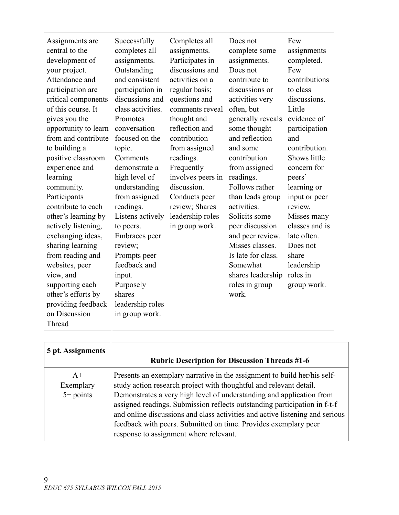| 5 pt. Assignments                | <b>Rubric Description for Discussion Threads #1-6</b>                                                                                                                                                                                                                                                                                                                                                                                                                                            |
|----------------------------------|--------------------------------------------------------------------------------------------------------------------------------------------------------------------------------------------------------------------------------------------------------------------------------------------------------------------------------------------------------------------------------------------------------------------------------------------------------------------------------------------------|
| $A+$<br>Exemplary<br>$5+$ points | Presents an exemplary narrative in the assignment to build her/his self-<br>study action research project with thoughtful and relevant detail.<br>Demonstrates a very high level of understanding and application from<br>assigned readings. Submission reflects outstanding participation in f-t-f<br>and online discussions and class activities and active listening and serious<br>feedback with peers. Submitted on time. Provides exemplary peer<br>response to assignment where relevant. |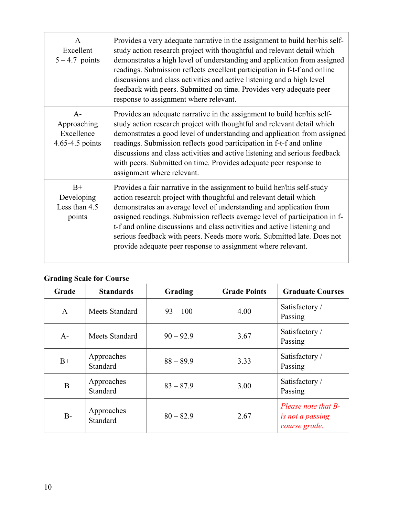| $\mathsf{A}$<br>Excellent<br>$5 - 4.7$ points        | Provides a very adequate narrative in the assignment to build her/his self-<br>study action research project with thoughtful and relevant detail which<br>demonstrates a high level of understanding and application from assigned<br>readings. Submission reflects excellent participation in f-t-f and online<br>discussions and class activities and active listening and a high level<br>feedback with peers. Submitted on time. Provides very adequate peer<br>response to assignment where relevant.               |
|------------------------------------------------------|--------------------------------------------------------------------------------------------------------------------------------------------------------------------------------------------------------------------------------------------------------------------------------------------------------------------------------------------------------------------------------------------------------------------------------------------------------------------------------------------------------------------------|
| $A-$<br>Approaching<br>Excellence<br>4.65-4.5 points | Provides an adequate narrative in the assignment to build her/his self-<br>study action research project with thoughtful and relevant detail which<br>demonstrates a good level of understanding and application from assigned<br>readings. Submission reflects good participation in f-t-f and online<br>discussions and class activities and active listening and serious feedback<br>with peers. Submitted on time. Provides adequate peer response to<br>assignment where relevant.                                  |
| $B+$<br>Developing<br>Less than 4.5<br>points        | Provides a fair narrative in the assignment to build her/his self-study<br>action research project with thoughtful and relevant detail which<br>demonstrates an average level of understanding and application from<br>assigned readings. Submission reflects average level of participation in f-<br>t-f and online discussions and class activities and active listening and<br>serious feedback with peers. Needs more work. Submitted late. Does not<br>provide adequate peer response to assignment where relevant. |

# **Grading Scale for Course**

| Grade        | <b>Standards</b>       | Grading     | <b>Grade Points</b> | <b>Graduate Courses</b>                                  |
|--------------|------------------------|-------------|---------------------|----------------------------------------------------------|
| $\mathbf{A}$ | Meets Standard         | $93 - 100$  | 4.00                | Satisfactory /<br>Passing                                |
| $A-$         | <b>Meets Standard</b>  | $90 - 92.9$ | 3.67                | Satisfactory /<br>Passing                                |
| $B+$         | Approaches<br>Standard | $88 - 89.9$ | 3.33                | Satisfactory /<br>Passing                                |
| B            | Approaches<br>Standard | $83 - 87.9$ | 3.00                | Satisfactory /<br>Passing                                |
| $B-$         | Approaches<br>Standard | $80 - 82.9$ | 2.67                | Please note that B-<br>is not a passing<br>course grade. |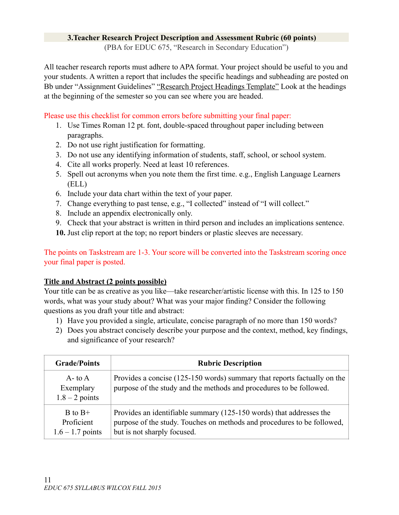### **3.Teacher Research Project Description and Assessment Rubric (60 points)**

(PBA for EDUC 675, "Research in Secondary Education")

All teacher research reports must adhere to APA format. Your project should be useful to you and your students. A written a report that includes the specific headings and subheading are posted on Bb under "Assignment Guidelines" "Research Project Headings Template" Look at the headings at the beginning of the semester so you can see where you are headed.

Please use this checklist for common errors before submitting your final paper:

- 1. Use Times Roman 12 pt. font, double-spaced throughout paper including between paragraphs.
- 2. Do not use right justification for formatting.
- 3. Do not use any identifying information of students, staff, school, or school system.
- 4. Cite all works properly. Need at least 10 references.
- 5. Spell out acronyms when you note them the first time. e.g., English Language Learners (ELL)
- 6. Include your data chart within the text of your paper.
- 7. Change everything to past tense, e.g., "I collected" instead of "I will collect."
- 8. Include an appendix electronically only.
- 9. Check that your abstract is written in third person and includes an implications sentence.
- **10.** Just clip report at the top; no report binders or plastic sleeves are necessary.

The points on Taskstream are 1-3. Your score will be converted into the Taskstream scoring once your final paper is posted.

## **Title and Abstract (2 points possible)**

Your title can be as creative as you like—take researcher/artistic license with this. In 125 to 150 words, what was your study about? What was your major finding? Consider the following questions as you draft your title and abstract:

- 1) Have you provided a single, articulate, concise paragraph of no more than 150 words?
- 2) Does you abstract concisely describe your purpose and the context, method, key findings, and significance of your research?

| <b>Grade/Points</b>                             | <b>Rubric Description</b>                                                                                                                                                     |
|-------------------------------------------------|-------------------------------------------------------------------------------------------------------------------------------------------------------------------------------|
| $A$ - to $A$<br>Exemplary<br>$1.8 - 2$ points   | Provides a concise (125-150 words) summary that reports factually on the<br>purpose of the study and the methods and procedures to be followed.                               |
| $B$ to $B+$<br>Proficient<br>$1.6 - 1.7$ points | Provides an identifiable summary (125-150 words) that addresses the<br>purpose of the study. Touches on methods and procedures to be followed,<br>but is not sharply focused. |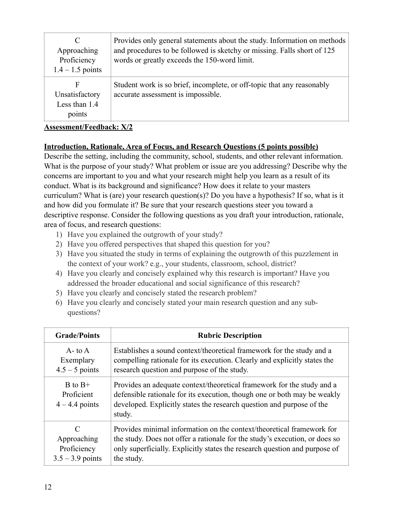| C<br>Approaching<br>Proficiency<br>$1.4 - 1.5$ points | Provides only general statements about the study. Information on methods<br>and procedures to be followed is sketchy or missing. Falls short of 125<br>words or greatly exceeds the 150-word limit. |
|-------------------------------------------------------|-----------------------------------------------------------------------------------------------------------------------------------------------------------------------------------------------------|
| F<br>Unsatisfactory<br>Less than 1.4<br>points        | Student work is so brief, incomplete, or off-topic that any reasonably<br>accurate assessment is impossible.                                                                                        |

### **Introduction, Rationale, Area of Focus, and Research Questions (5 points possible)**

Describe the setting, including the community, school, students, and other relevant information. What is the purpose of your study? What problem or issue are you addressing? Describe why the concerns are important to you and what your research might help you learn as a result of its conduct. What is its background and significance? How does it relate to your masters curriculum? What is (are) your research question(s)? Do you have a hypothesis? If so, what is it and how did you formulate it? Be sure that your research questions steer you toward a descriptive response. Consider the following questions as you draft your introduction, rationale, area of focus, and research questions:

- 1) Have you explained the outgrowth of your study?
- 2) Have you offered perspectives that shaped this question for you?
- 3) Have you situated the study in terms of explaining the outgrowth of this puzzlement in the context of your work? e.g., your students, classroom, school, district?
- 4) Have you clearly and concisely explained why this research is important? Have you addressed the broader educational and social significance of this research?
- 5) Have you clearly and concisely stated the research problem?
- 6) Have you clearly and concisely stated your main research question and any subquestions?

| <b>Grade/Points</b>                           | <b>Rubric Description</b>                                                                                                                                                                                                             |
|-----------------------------------------------|---------------------------------------------------------------------------------------------------------------------------------------------------------------------------------------------------------------------------------------|
| $A - t_0 A$                                   | Establishes a sound context/theoretical framework for the study and a                                                                                                                                                                 |
| Exemplary                                     | compelling rationale for its execution. Clearly and explicitly states the                                                                                                                                                             |
| $4.5 - 5$ points                              | research question and purpose of the study.                                                                                                                                                                                           |
| $B$ to $B+$<br>Proficient<br>$4 - 4.4$ points | Provides an adequate context/theoretical framework for the study and a<br>defensible rationale for its execution, though one or both may be weakly<br>developed. Explicitly states the research question and purpose of the<br>study. |
| C                                             | Provides minimal information on the context/theoretical framework for                                                                                                                                                                 |
| Approaching                                   | the study. Does not offer a rationale for the study's execution, or does so                                                                                                                                                           |
| Proficiency                                   | only superficially. Explicitly states the research question and purpose of                                                                                                                                                            |
| $3.5 - 3.9$ points                            | the study.                                                                                                                                                                                                                            |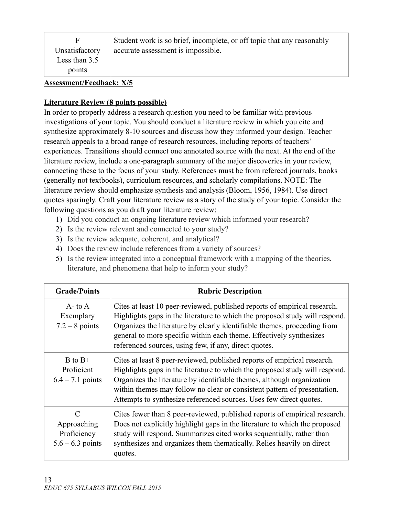| F<br>Unsatisfactory             | Student work is so brief, incomplete, or off topic that any reasonably<br>accurate assessment is impossible. |  |
|---------------------------------|--------------------------------------------------------------------------------------------------------------|--|
| Less than $3.5$<br>points       |                                                                                                              |  |
| <b>Assessment/Feedback: X/5</b> |                                                                                                              |  |

## **Literature Review (8 points possible)**

In order to properly address a research question you need to be familiar with previous investigations of your topic. You should conduct a literature review in which you cite and synthesize approximately 8-10 sources and discuss how they informed your design. Teacher research appeals to a broad range of research resources, including reports of teachers' experiences. Transitions should connect one annotated source with the next. At the end of the literature review, include a one-paragraph summary of the major discoveries in your review, connecting these to the focus of your study. References must be from refereed journals, books (generally not textbooks), curriculum resources, and scholarly compilations. NOTE: The literature review should emphasize synthesis and analysis (Bloom, 1956, 1984). Use direct quotes sparingly. Craft your literature review as a story of the study of your topic. Consider the following questions as you draft your literature review:

- 1) Did you conduct an ongoing literature review which informed your research?
- 2) Is the review relevant and connected to your study?
- 3) Is the review adequate, coherent, and analytical?
- 4) Does the review include references from a variety of sources?
- 5) Is the review integrated into a conceptual framework with a mapping of the theories, literature, and phenomena that help to inform your study?

| <b>Grade/Points</b>                                                             | <b>Rubric Description</b>                                                                                                                                                                                                                                                                                                                                                           |
|---------------------------------------------------------------------------------|-------------------------------------------------------------------------------------------------------------------------------------------------------------------------------------------------------------------------------------------------------------------------------------------------------------------------------------------------------------------------------------|
| $A$ - to $A$<br>Exemplary<br>$7.2 - 8$ points                                   | Cites at least 10 peer-reviewed, published reports of empirical research.<br>Highlights gaps in the literature to which the proposed study will respond.<br>Organizes the literature by clearly identifiable themes, proceeding from<br>general to more specific within each theme. Effectively synthesizes<br>referenced sources, using few, if any, direct quotes.                |
| $B$ to $B+$<br>Proficient<br>$6.4 - 7.1$ points                                 | Cites at least 8 peer-reviewed, published reports of empirical research.<br>Highlights gaps in the literature to which the proposed study will respond.<br>Organizes the literature by identifiable themes, although organization<br>within themes may follow no clear or consistent pattern of presentation.<br>Attempts to synthesize referenced sources. Uses few direct quotes. |
| $\mathcal{C}_{\mathcal{C}}$<br>Approaching<br>Proficiency<br>$5.6 - 6.3$ points | Cites fewer than 8 peer-reviewed, published reports of empirical research.<br>Does not explicitly highlight gaps in the literature to which the proposed<br>study will respond. Summarizes cited works sequentially, rather than<br>synthesizes and organizes them thematically. Relies heavily on direct<br>quotes.                                                                |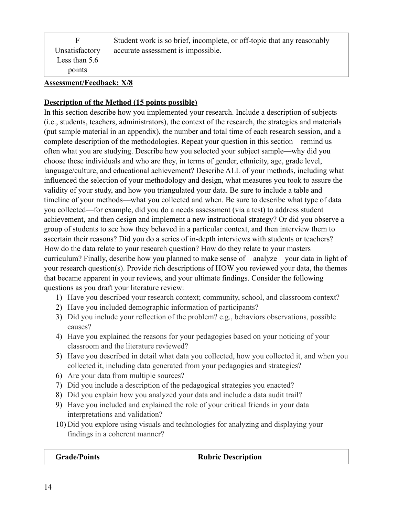| F.<br>Unsatisfactory<br>Less than $5.6$<br>points | Student work is so brief, incomplete, or off-topic that any reasonably<br>accurate assessment is impossible. |
|---------------------------------------------------|--------------------------------------------------------------------------------------------------------------|
| $\overline{1}$                                    |                                                                                                              |

### **Description of the Method (15 points possible)**

In this section describe how you implemented your research. Include a description of subjects (i.e., students, teachers, administrators), the context of the research, the strategies and materials (put sample material in an appendix), the number and total time of each research session, and a complete description of the methodologies. Repeat your question in this section—remind us often what you are studying. Describe how you selected your subject sample—why did you choose these individuals and who are they, in terms of gender, ethnicity, age, grade level, language/culture, and educational achievement? Describe ALL of your methods, including what influenced the selection of your methodology and design, what measures you took to assure the validity of your study, and how you triangulated your data. Be sure to include a table and timeline of your methods—what you collected and when. Be sure to describe what type of data you collected—for example, did you do a needs assessment (via a test) to address student achievement, and then design and implement a new instructional strategy? Or did you observe a group of students to see how they behaved in a particular context, and then interview them to ascertain their reasons? Did you do a series of in-depth interviews with students or teachers? How do the data relate to your research question? How do they relate to your masters curriculum? Finally, describe how you planned to make sense of—analyze—your data in light of your research question(s). Provide rich descriptions of HOW you reviewed your data, the themes that became apparent in your reviews, and your ultimate findings. Consider the following questions as you draft your literature review:

- 1) Have you described your research context; community, school, and classroom context?
- 2) Have you included demographic information of participants?
- 3) Did you include your reflection of the problem? e.g., behaviors observations, possible causes?
- 4) Have you explained the reasons for your pedagogies based on your noticing of your classroom and the literature reviewed?
- 5) Have you described in detail what data you collected, how you collected it, and when you collected it, including data generated from your pedagogies and strategies?
- 6) Are your data from multiple sources?
- 7) Did you include a description of the pedagogical strategies you enacted?
- 8) Did you explain how you analyzed your data and include a data audit trail?
- 9) Have you included and explained the role of your critical friends in your data interpretations and validation?
- 10) Did you explore using visuals and technologies for analyzing and displaying your findings in a coherent manner?

| <b>Grade/Points</b> | <b>Rubric Description</b> |
|---------------------|---------------------------|
|---------------------|---------------------------|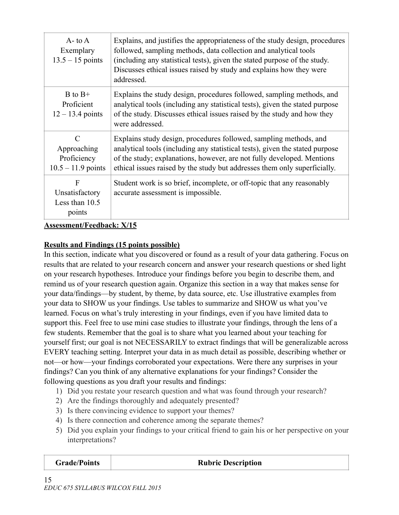| $A$ - to $A$<br>Exemplary<br>$13.5 - 15$ points                     | Explains, and justifies the appropriateness of the study design, procedures<br>followed, sampling methods, data collection and analytical tools<br>(including any statistical tests), given the stated purpose of the study.<br>Discusses ethical issues raised by study and explains how they were<br>addressed. |  |
|---------------------------------------------------------------------|-------------------------------------------------------------------------------------------------------------------------------------------------------------------------------------------------------------------------------------------------------------------------------------------------------------------|--|
| $B$ to $B+$<br>Proficient<br>$12 - 13.4$ points                     | Explains the study design, procedures followed, sampling methods, and<br>analytical tools (including any statistical tests), given the stated purpose<br>of the study. Discusses ethical issues raised by the study and how they<br>were addressed.                                                               |  |
| $\mathcal{C}$<br>Approaching<br>Proficiency<br>$10.5 - 11.9$ points | Explains study design, procedures followed, sampling methods, and<br>analytical tools (including any statistical tests), given the stated purpose<br>of the study; explanations, however, are not fully developed. Mentions<br>ethical issues raised by the study but addresses them only superficially.          |  |
| F<br>Unsatisfactory<br>Less than 10.5<br>points                     | Student work is so brief, incomplete, or off-topic that any reasonably<br>accurate assessment is impossible.                                                                                                                                                                                                      |  |

## **Results and Findings (15 points possible)**

In this section, indicate what you discovered or found as a result of your data gathering. Focus on results that are related to your research concern and answer your research questions or shed light on your research hypotheses. Introduce your findings before you begin to describe them, and remind us of your research question again. Organize this section in a way that makes sense for your data/findings—by student, by theme, by data source, etc. Use illustrative examples from your data to SHOW us your findings. Use tables to summarize and SHOW us what you've learned. Focus on what's truly interesting in your findings, even if you have limited data to support this. Feel free to use mini case studies to illustrate your findings, through the lens of a few students. Remember that the goal is to share what you learned about your teaching for yourself first; our goal is not NECESSARILY to extract findings that will be generalizable across EVERY teaching setting. Interpret your data in as much detail as possible, describing whether or not—or how—your findings corroborated your expectations. Were there any surprises in your findings? Can you think of any alternative explanations for your findings? Consider the following questions as you draft your results and findings:

- 1) Did you restate your research question and what was found through your research?
- 2) Are the findings thoroughly and adequately presented?
- 3) Is there convincing evidence to support your themes?
- 4) Is there connection and coherence among the separate themes?
- 5) Did you explain your findings to your critical friend to gain his or her perspective on your interpretations?

| <b>Grade/Points</b> | <b>Rubric Description</b> |
|---------------------|---------------------------|
|                     |                           |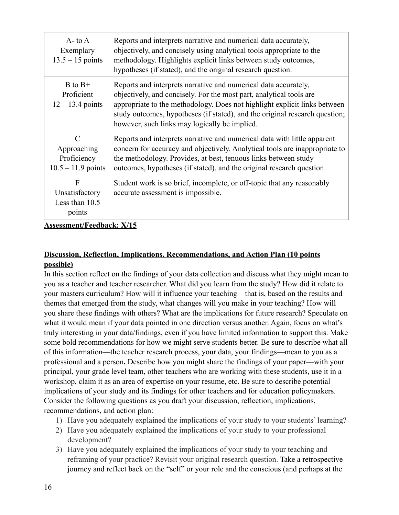| $A$ - to $A$<br>Exemplary<br>$13.5 - 15$ points                     | Reports and interprets narrative and numerical data accurately,<br>objectively, and concisely using analytical tools appropriate to the<br>methodology. Highlights explicit links between study outcomes,<br>hypotheses (if stated), and the original research question.                                                                            |
|---------------------------------------------------------------------|-----------------------------------------------------------------------------------------------------------------------------------------------------------------------------------------------------------------------------------------------------------------------------------------------------------------------------------------------------|
| $B$ to $B+$<br>Proficient<br>$12 - 13.4$ points                     | Reports and interprets narrative and numerical data accurately,<br>objectively, and concisely. For the most part, analytical tools are<br>appropriate to the methodology. Does not highlight explicit links between<br>study outcomes, hypotheses (if stated), and the original research question;<br>however, such links may logically be implied. |
| $\mathcal{C}$<br>Approaching<br>Proficiency<br>$10.5 - 11.9$ points | Reports and interprets narrative and numerical data with little apparent<br>concern for accuracy and objectively. Analytical tools are inappropriate to<br>the methodology. Provides, at best, tenuous links between study<br>outcomes, hypotheses (if stated), and the original research question.                                                 |
| F<br>Unsatisfactory<br>Less than 10.5<br>points                     | Student work is so brief, incomplete, or off-topic that any reasonably<br>accurate assessment is impossible.                                                                                                                                                                                                                                        |

## **Discussion, Reflection, Implications, Recommendations, and Action Plan (10 points possible)**

In this section reflect on the findings of your data collection and discuss what they might mean to you as a teacher and teacher researcher. What did you learn from the study? How did it relate to your masters curriculum? How will it influence your teaching—that is, based on the results and themes that emerged from the study, what changes will you make in your teaching? How will you share these findings with others? What are the implications for future research? Speculate on what it would mean if your data pointed in one direction versus another. Again, focus on what's truly interesting in your data/findings, even if you have limited information to support this. Make some bold recommendations for how we might serve students better. Be sure to describe what all of this information—the teacher research process, your data, your findings—mean to you as a professional and a person**.** Describe how you might share the findings of your paper—with your principal, your grade level team, other teachers who are working with these students, use it in a workshop, claim it as an area of expertise on your resume, etc. Be sure to describe potential implications of your study and its findings for other teachers and for education policymakers. Consider the following questions as you draft your discussion, reflection, implications, recommendations, and action plan:

- 1) Have you adequately explained the implications of your study to your students' learning?
- 2) Have you adequately explained the implications of your study to your professional development?
- 3) Have you adequately explained the implications of your study to your teaching and reframing of your practice? Revisit your original research question. Take a retrospective journey and reflect back on the "self" or your role and the conscious (and perhaps at the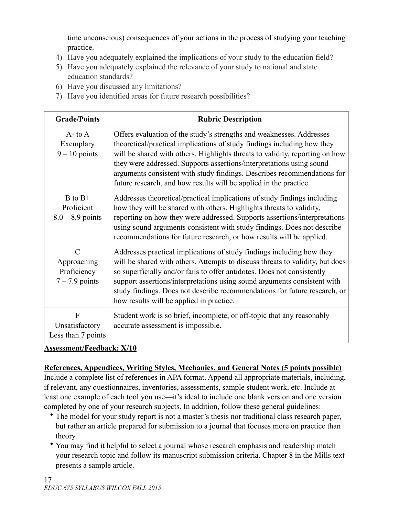time unconscious) consequences of your actions in the process of studying your teaching practice.

- 4) Have you adequately explained the implications of your study to the education field?
- 5) Have you adequately explained the relevance of your study to national and state education standards?
- 6) Have you discussed any limitations?
- 7) Have you identified areas for future research possibilities?

| <b>Grade/Points</b>                                             | <b>Rubric Description</b>                                                                                                                                                                                                                                                                                                                                                                                                                               |  |
|-----------------------------------------------------------------|---------------------------------------------------------------------------------------------------------------------------------------------------------------------------------------------------------------------------------------------------------------------------------------------------------------------------------------------------------------------------------------------------------------------------------------------------------|--|
| $A$ - to $A$<br>Exemplary<br>$9 - 10$ points                    | Offers evaluation of the study's strengths and weaknesses. Addresses<br>theoretical/practical implications of study findings including how they<br>will be shared with others. Highlights threats to validity, reporting on how<br>they were addressed. Supports assertions/interpretations using sound<br>arguments consistent with study findings. Describes recommendations for<br>future research, and how results will be applied in the practice. |  |
| $B$ to $B+$<br>Proficient<br>$8.0 - 8.9$ points                 | Addresses theoretical/practical implications of study findings including<br>how they will be shared with others. Highlights threats to validity,<br>reporting on how they were addressed. Supports assertions/interpretations<br>using sound arguments consistent with study findings. Does not describe<br>recommendations for future research, or how results will be applied.                                                                        |  |
| $\mathcal{C}$<br>Approaching<br>Proficiency<br>$7 - 7.9$ points | Addresses practical implications of study findings including how they<br>will be shared with others. Attempts to discuss threats to validity, but does<br>so superficially and/or fails to offer antidotes. Does not consistently<br>support assertions/interpretations using sound arguments consistent with<br>study findings. Does not describe recommendations for future research, or<br>how results will be applied in practice.                  |  |
| F<br>Unsatisfactory<br>Less than 7 points                       | Student work is so brief, incomplete, or off-topic that any reasonably<br>accurate assessment is impossible.                                                                                                                                                                                                                                                                                                                                            |  |

## **Assessment/Feedback: X/10**

# **References, Appendices, Writing Styles, Mechanics, and General Notes (5 points possible)**

Include a complete list of references in APA format. Append all appropriate materials, including, if relevant, any questionnaires, inventories, assessments, sample student work, etc. Include at least one example of each tool you use—it's ideal to include one blank version and one version completed by one of your research subjects. In addition, follow these general guidelines:

- The model for your study report is not a master's thesis nor traditional class research paper, but rather an article prepared for submission to a journal that focuses more on practice than theory.
- You may find it helpful to select a journal whose research emphasis and readership match your research topic and follow its manuscript submission criteria. Chapter 8 in the Mills text presents a sample article.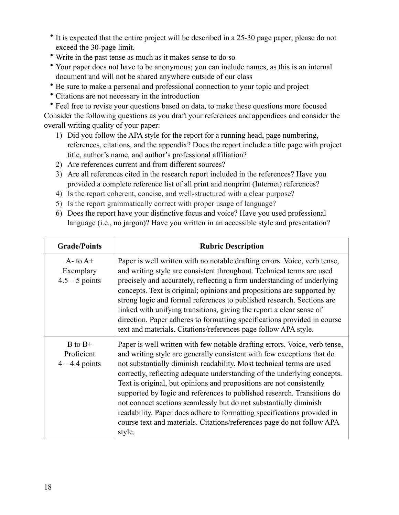- It is expected that the entire project will be described in a 25-30 page paper; please do not exceed the 30-page limit.
- Write in the past tense as much as it makes sense to do so
- Your paper does not have to be anonymous; you can include names, as this is an internal document and will not be shared anywhere outside of our class
- Be sure to make a personal and professional connection to your topic and project
- Citations are not necessary in the introduction

• Feel free to revise your questions based on data, to make these questions more focused Consider the following questions as you draft your references and appendices and consider the overall writing quality of your paper:

- 1) Did you follow the APA style for the report for a running head, page numbering, references, citations, and the appendix? Does the report include a title page with project title, author's name, and author's professional affiliation?
- 2) Are references current and from different sources?
- 3) Are all references cited in the research report included in the references? Have you provided a complete reference list of all print and nonprint (Internet) references?
- 4) Is the report coherent, concise, and well-structured with a clear purpose?
- 5) Is the report grammatically correct with proper usage of language?
- 6) Does the report have your distinctive focus and voice? Have you used professional language (i.e., no jargon)? Have you written in an accessible style and presentation?

| <b>Grade/Points</b>                             | <b>Rubric Description</b>                                                                                                                                                                                                                                                                                                                                                                                                                                                                                                                                                                                                                                                                        |
|-------------------------------------------------|--------------------------------------------------------------------------------------------------------------------------------------------------------------------------------------------------------------------------------------------------------------------------------------------------------------------------------------------------------------------------------------------------------------------------------------------------------------------------------------------------------------------------------------------------------------------------------------------------------------------------------------------------------------------------------------------------|
| $A$ - to $A$ +<br>Exemplary<br>$4.5 - 5$ points | Paper is well written with no notable drafting errors. Voice, verb tense,<br>and writing style are consistent throughout. Technical terms are used<br>precisely and accurately, reflecting a firm understanding of underlying<br>concepts. Text is original; opinions and propositions are supported by<br>strong logic and formal references to published research. Sections are<br>linked with unifying transitions, giving the report a clear sense of<br>direction. Paper adheres to formatting specifications provided in course<br>text and materials. Citations/references page follow APA style.                                                                                         |
| $B$ to $B+$<br>Proficient<br>$4 - 4.4$ points   | Paper is well written with few notable drafting errors. Voice, verb tense,<br>and writing style are generally consistent with few exceptions that do<br>not substantially diminish readability. Most technical terms are used<br>correctly, reflecting adequate understanding of the underlying concepts.<br>Text is original, but opinions and propositions are not consistently<br>supported by logic and references to published research. Transitions do<br>not connect sections seamlessly but do not substantially diminish<br>readability. Paper does adhere to formatting specifications provided in<br>course text and materials. Citations/references page do not follow APA<br>style. |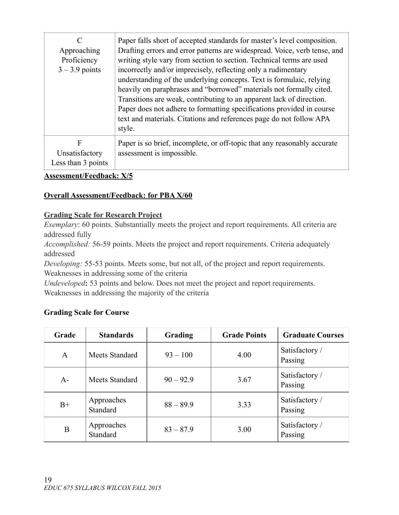| C<br>Approaching<br>Proficiency<br>$3 - 3.9$ points | Paper falls short of accepted standards for master's level composition.<br>Drafting errors and error patterns are widespread. Voice, verb tense, and<br>writing style vary from section to section. Technical terms are used<br>incorrectly and/or imprecisely, reflecting only a rudimentary<br>understanding of the underlying concepts. Text is formulaic, relying<br>heavily on paraphrases and "borrowed" materials not formally cited.<br>Transitions are weak, contributing to an apparent lack of direction.<br>Paper does not adhere to formatting specifications provided in course<br>text and materials. Citations and references page do not follow APA<br>style. |
|-----------------------------------------------------|--------------------------------------------------------------------------------------------------------------------------------------------------------------------------------------------------------------------------------------------------------------------------------------------------------------------------------------------------------------------------------------------------------------------------------------------------------------------------------------------------------------------------------------------------------------------------------------------------------------------------------------------------------------------------------|
| F<br>Unsatisfactory<br>Less than 3 points           | Paper is so brief, incomplete, or off-topic that any reasonably accurate<br>assessment is impossible.                                                                                                                                                                                                                                                                                                                                                                                                                                                                                                                                                                          |

## **Overall Assessment/Feedback: for PBA X/60**

### **Grading Scale for Research Project**

*Exemplary*: 60 points. Substantially meets the project and report requirements. All criteria are addressed fully

*Accomplished:* 56-59 points. Meets the project and report requirements. Criteria adequately addressed

*Developing:* 55-53 points. Meets some, but not all, of the project and report requirements. Weaknesses in addressing some of the criteria

*Undeveloped***:** 53 points and below. Does not meet the project and report requirements. Weaknesses in addressing the majority of the criteria

## **Grading Scale for Course**

| Grade | <b>Standards</b>       | Grading     | <b>Grade Points</b> | <b>Graduate Courses</b>   |
|-------|------------------------|-------------|---------------------|---------------------------|
| A     | Meets Standard         | $93 - 100$  | 4.00                | Satisfactory /<br>Passing |
| A-    | Meets Standard         | $90 - 92.9$ | 3.67                | Satisfactory /<br>Passing |
| $B+$  | Approaches<br>Standard | $88 - 89.9$ | 3.33                | Satisfactory /<br>Passing |
| B     | Approaches<br>Standard | $83 - 87.9$ | 3.00                | Satisfactory /<br>Passing |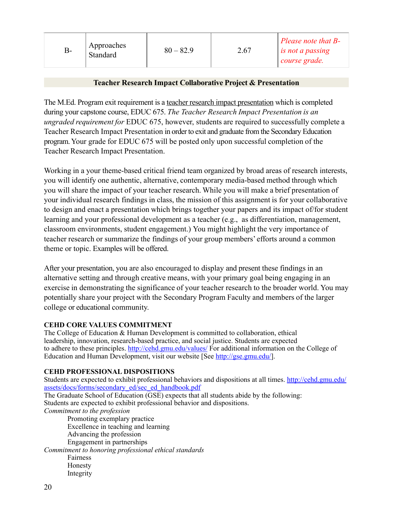| Approaches<br>B-<br>Standard | $80 - 82.9$ | 2.67 | $\vert$ Please note that B-<br>$\frac{1}{2}$ is not a passing<br>$  course\ grade.$ |
|------------------------------|-------------|------|-------------------------------------------------------------------------------------|
|------------------------------|-------------|------|-------------------------------------------------------------------------------------|

### **Teacher Research Impact Collaborative Project & Presentation**

The M.Ed. Program exit requirement is a teacher research impact presentation which is completed during your capstone course, EDUC 675. *The Teacher Research Impact Presentation is an ungraded requirement for* EDUC 675, however, students are required to successfully complete a Teacher Research Impact Presentation in order to exit and graduate from the Secondary Education program. Your grade for EDUC 675 will be posted only upon successful completion of the Teacher Research Impact Presentation.

Working in a your theme-based critical friend team organized by broad areas of research interests, you will identify one authentic, alternative, contemporary media-based method through which you will share the impact of your teacher research. While you will make a brief presentation of your individual research findings in class, the mission of this assignment is for your collaborative to design and enact a presentation which brings together your papers and its impact of/for student learning and your professional development as a teacher (e.g., as differentiation, management, classroom environments, student engagement.) You might highlight the very importance of teacher research or summarize the findings of your group members' efforts around a common theme or topic. Examples will be offered.

After your presentation, you are also encouraged to display and present these findings in an alternative setting and through creative means, with your primary goal being engaging in an exercise in demonstrating the significance of your teacher research to the broader world. You may potentially share your project with the Secondary Program Faculty and members of the larger college or educational community.

#### **CEHD CORE VALUES COMMITMENT**

The College of Education & Human Development is committed to collaboration, ethical leadership, innovation, research-based practice, and social justice. Students are expected to adhere to these principles.<http://cehd.gmu.edu/values/> For additional information on the College of Education and Human Development, visit our website [See<http://gse.gmu.edu/>].

#### **CEHD PROFESSIONAL DISPOSITIONS**

[Students are expected to exhibit professional behaviors and dispositions at all times.](http://cehd.gmu.edu/assets/docs/forms/secondary_ed/sec_ed_handbook.pdf) http://cehd.gmu.edu/ assets/docs/forms/secondary\_ed/sec\_ed\_handbook.pdf The Graduate School of Education  $\overline{(\overline{GSE})}$  expects that all students abide by the following: Students are expected to exhibit professional behavior and dispositions. *Commitment to the profession* Promoting exemplary practice Excellence in teaching and learning Advancing the profession Engagement in partnerships *Commitment to honoring professional ethical standards* Fairness Honesty

20

Integrity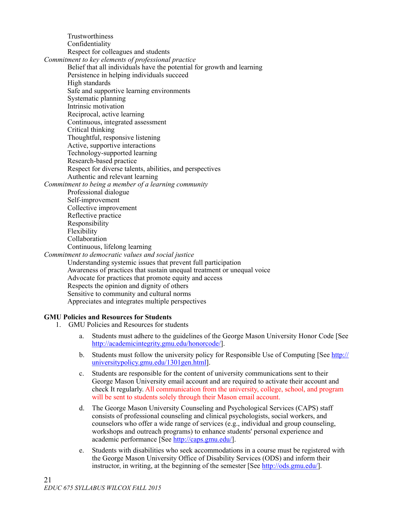Trustworthiness Confidentiality Respect for colleagues and students *Commitment to key elements of professional practice* Belief that all individuals have the potential for growth and learning Persistence in helping individuals succeed High standards Safe and supportive learning environments Systematic planning Intrinsic motivation Reciprocal, active learning Continuous, integrated assessment Critical thinking Thoughtful, responsive listening Active, supportive interactions Technology-supported learning Research-based practice Respect for diverse talents, abilities, and perspectives Authentic and relevant learning *Commitment to being a member of a learning community* Professional dialogue Self-improvement Collective improvement Reflective practice Responsibility Flexibility Collaboration Continuous, lifelong learning *Commitment to democratic values and social justice* Understanding systemic issues that prevent full participation Awareness of practices that sustain unequal treatment or unequal voice Advocate for practices that promote equity and access

Respects the opinion and dignity of others

#### Sensitive to community and cultural norms Appreciates and integrates multiple perspectives

#### **GMU Policies and Resources for Students**

- 1. GMU Policies and Resources for students
	- a. Students must adhere to the guidelines of the George Mason University Honor Code [See [http://academicintegrity.gmu.edu/honorcode/\]](http://academicintegrity.gmu.edu/honorcode/).
	- b. [Students must follow the university policy for Responsible Use of Computing \[See http://](http://universitypolicy.gmu.edu/1301gen.html) universitypolicy.gmu.edu/1301gen.html].
	- c. Students are responsible for the content of university communications sent to their George Mason University email account and are required to activate their account and check It regularly. All communication from the university, college, school, and program will be sent to students solely through their Mason email account.
	- d. The George Mason University Counseling and Psychological Services (CAPS) staff consists of professional counseling and clinical psychologists, social workers, and counselors who offer a wide range of services (e.g., individual and group counseling, workshops and outreach programs) to enhance students' personal experience and academic performance [See [http://caps.gmu.edu/\]](http://caps.gmu.edu/).
	- e. Students with disabilities who seek accommodations in a course must be registered with the George Mason University Office of Disability Services (ODS) and inform their instructor, in writing, at the beginning of the semester [See [http://ods.gmu.edu/\]](http://ods.gmu.edu/).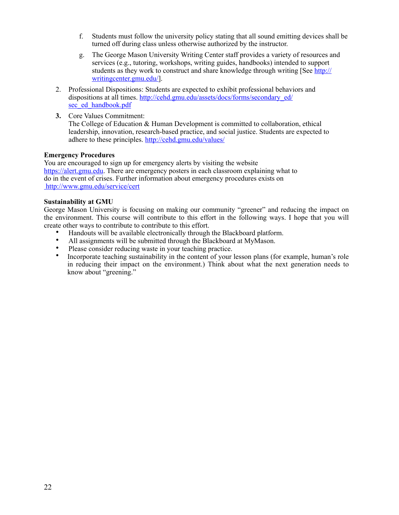- f. Students must follow the university policy stating that all sound emitting devices shall be turned off during class unless otherwise authorized by the instructor.
- g. The George Mason University Writing Center staff provides a variety of resources and services (e.g., tutoring, workshops, writing guides, handbooks) intended to support [students as they work to construct and share knowledge through writing \[See http://](http://writingcenter.gmu.edu/) writingcenter.gmu.edu/].
- 2. Professional Dispositions: Students are expected to exhibit professional behaviors and dispositions at all times. [http://cehd.gmu.edu/assets/docs/forms/secondary\\_ed/](http://cehd.gmu.edu/assets/docs/forms/secondary_ed/sec_ed_handbook.pdf) sec\_ed\_handbook.pdf
- **3.** Core Values Commitment:

The College of Education & Human Development is committed to collaboration, ethical leadership, innovation, research-based practice, and social justice. Students are expected to adhere to these principles. <http://cehd.gmu.edu/values/>

#### **Emergency Procedures**

You are encouraged to sign up for emergency alerts by visiting the website [https://alert.gmu.edu.](https://alert.gmu.edu/) There are emergency posters in each classroom explaining what to do in the event of crises. Further information about emergency procedures exists on http://www.gmu.edu/service/cert

#### **Sustainability at GMU**

George Mason University is focusing on making our community "greener" and reducing the impact on the environment. This course will contribute to this effort in the following ways. I hope that you will create other ways to contribute to contribute to this effort.

- Handouts will be available electronically through the Blackboard platform.
- All assignments will be submitted through the Blackboard at MyMason.
- Please consider reducing waste in your teaching practice.<br>• Incorporate teaching sustainability in the content of your
- Incorporate teaching sustainability in the content of your lesson plans (for example, human's role in reducing their impact on the environment.) Think about what the next generation needs to know about "greening."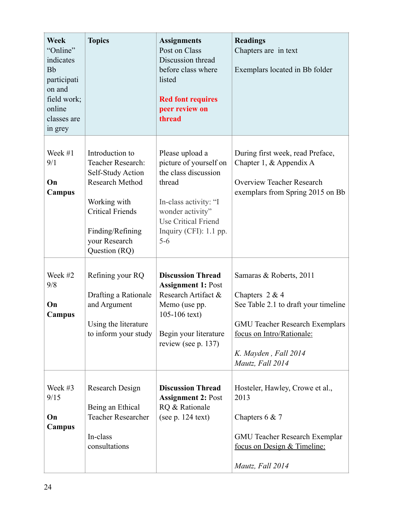| <b>Week</b><br>"Online"<br>indicates<br><b>Bb</b><br>participati<br>on and<br>field work;<br>online<br>classes are<br>in grey | <b>Topics</b>                                                                                                                                                                        | <b>Assignments</b><br>Post on Class<br>Discussion thread<br>before class where<br>listed<br><b>Red font requires</b><br>peer review on<br>thread                                              | <b>Readings</b><br>Chapters are in text<br>Exemplars located in Bb folder                                                                                                                             |
|-------------------------------------------------------------------------------------------------------------------------------|--------------------------------------------------------------------------------------------------------------------------------------------------------------------------------------|-----------------------------------------------------------------------------------------------------------------------------------------------------------------------------------------------|-------------------------------------------------------------------------------------------------------------------------------------------------------------------------------------------------------|
| Week #1<br>9/1<br>On<br><b>Campus</b>                                                                                         | Introduction to<br>Teacher Research:<br>Self-Study Action<br><b>Research Method</b><br>Working with<br><b>Critical Friends</b><br>Finding/Refining<br>your Research<br>Question (RQ) | Please upload a<br>picture of yourself on<br>the class discussion<br>thread<br>In-class activity: "I<br>wonder activity"<br><b>Use Critical Friend</b><br>Inquiry (CFI): $1.1$ pp.<br>$5 - 6$ | During first week, read Preface,<br>Chapter 1, $&$ Appendix A<br><b>Overview Teacher Research</b><br>exemplars from Spring 2015 on Bb                                                                 |
| Week #2<br>9/8<br>On<br>Campus                                                                                                | Refining your RQ<br>Drafting a Rationale<br>and Argument<br>Using the literature<br>to inform your study                                                                             | <b>Discussion Thread</b><br><b>Assignment 1: Post</b><br>Research Artifact &<br>Memo (use pp.<br>105-106 $text)$<br>Begin your literature<br>review (see p. 137)                              | Samaras & Roberts, 2011<br>Chapters $2 & 4$<br>See Table 2.1 to draft your timeline<br><b>GMU Teacher Research Exemplars</b><br>focus on Intro/Rationale:<br>K. Mayden, Fall 2014<br>Mautz, Fall 2014 |
| Week #3<br>9/15<br>On<br>Campus                                                                                               | Research Design<br>Being an Ethical<br><b>Teacher Researcher</b><br>In-class<br>consultations                                                                                        | <b>Discussion Thread</b><br><b>Assignment 2: Post</b><br>RQ & Rationale<br>(see $p. 124$ text)                                                                                                | Hosteler, Hawley, Crowe et al.,<br>2013<br>Chapters $6 & 7$<br><b>GMU Teacher Research Exemplar</b><br>focus on Design & Timeline:<br>Mautz, Fall 2014                                                |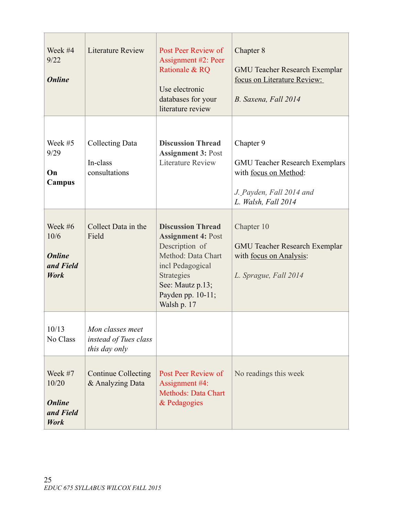| Week #4<br>9/22<br><b>Online</b>                               | <b>Literature Review</b>                                   | Post Peer Review of<br>Assignment #2: Peer<br>Rationale & RQ<br>Use electronic<br>databases for your<br>literature review                                                               | Chapter 8<br><b>GMU Teacher Research Exemplar</b><br>focus on Literature Review:<br>B. Saxena, Fall 2014                       |
|----------------------------------------------------------------|------------------------------------------------------------|-----------------------------------------------------------------------------------------------------------------------------------------------------------------------------------------|--------------------------------------------------------------------------------------------------------------------------------|
| Week $#5$<br>9/29<br>On<br>Campus                              | Collecting Data<br>In-class<br>consultations               | <b>Discussion Thread</b><br><b>Assignment 3: Post</b><br><b>Literature Review</b>                                                                                                       | Chapter 9<br><b>GMU Teacher Research Exemplars</b><br>with focus on Method:<br>J. Payden, Fall 2014 and<br>L. Walsh, Fall 2014 |
| Week $#6$<br>10/6<br><b>Online</b><br>and Field<br><b>Work</b> | Collect Data in the<br>Field                               | <b>Discussion Thread</b><br><b>Assignment 4: Post</b><br>Description of<br>Method: Data Chart<br>incl Pedagogical<br>Strategies<br>See: Mautz p.13;<br>Payden pp. 10-11;<br>Walsh p. 17 | Chapter 10<br><b>GMU Teacher Research Exemplar</b><br>with <u>focus</u> on Analysis:<br>L. Sprague, Fall 2014                  |
| 10/13<br>No Class                                              | Mon classes meet<br>instead of Tues class<br>this day only |                                                                                                                                                                                         |                                                                                                                                |
| Week #7<br>10/20<br><b>Online</b><br>and Field<br>Work         | <b>Continue Collecting</b><br>& Analyzing Data             | Post Peer Review of<br>Assignment #4:<br><b>Methods: Data Chart</b><br>& Pedagogies                                                                                                     | No readings this week                                                                                                          |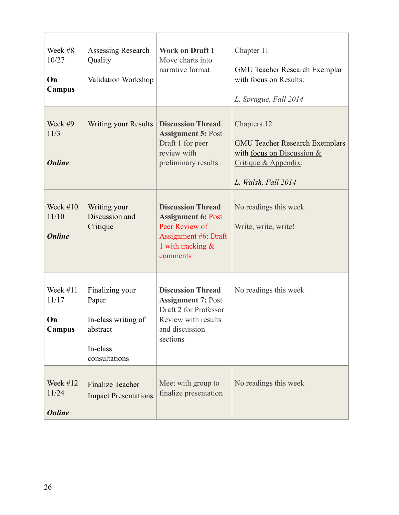| Week #8<br>10/27<br>On<br>Campus           | Assessing Research<br>Quality<br>Validation Workshop                                     | <b>Work on Draft 1</b><br>Move charts into<br>narrative format                                                                      | Chapter 11<br><b>GMU Teacher Research Exemplar</b><br>with focus on Results:<br>L. Sprague, Fall 2014                             |
|--------------------------------------------|------------------------------------------------------------------------------------------|-------------------------------------------------------------------------------------------------------------------------------------|-----------------------------------------------------------------------------------------------------------------------------------|
| Week #9<br>11/3<br><b>Online</b>           | <b>Writing your Results</b>                                                              | <b>Discussion Thread</b><br><b>Assignment 5: Post</b><br>Draft 1 for peer<br>review with<br>preliminary results                     | Chapters 12<br><b>GMU Teacher Research Exemplars</b><br>with focus on Discussion &<br>Critique & Appendix:<br>L. Walsh, Fall 2014 |
| Week $#10$<br>11/10<br><b>Online</b>       | Writing your<br>Discussion and<br>Critique                                               | <b>Discussion Thread</b><br><b>Assignment 6: Post</b><br>Peer Review of<br>Assignment #6: Draft<br>1 with tracking $\&$<br>comments | No readings this week<br>Write, write, write!                                                                                     |
| Week $#11$<br>11/17<br>On<br><b>Campus</b> | Finalizing your<br>Paper<br>In-class writing of<br>abstract<br>In-class<br>consultations | <b>Discussion Thread</b><br><b>Assignment 7: Post</b><br>Draft 2 for Professor<br>Review with results<br>and discussion<br>sections | No readings this week                                                                                                             |
| Week $#12$<br>11/24<br><b>Online</b>       | <b>Finalize Teacher</b><br><b>Impact Presentations</b>                                   | Meet with group to<br>finalize presentation                                                                                         | No readings this week                                                                                                             |